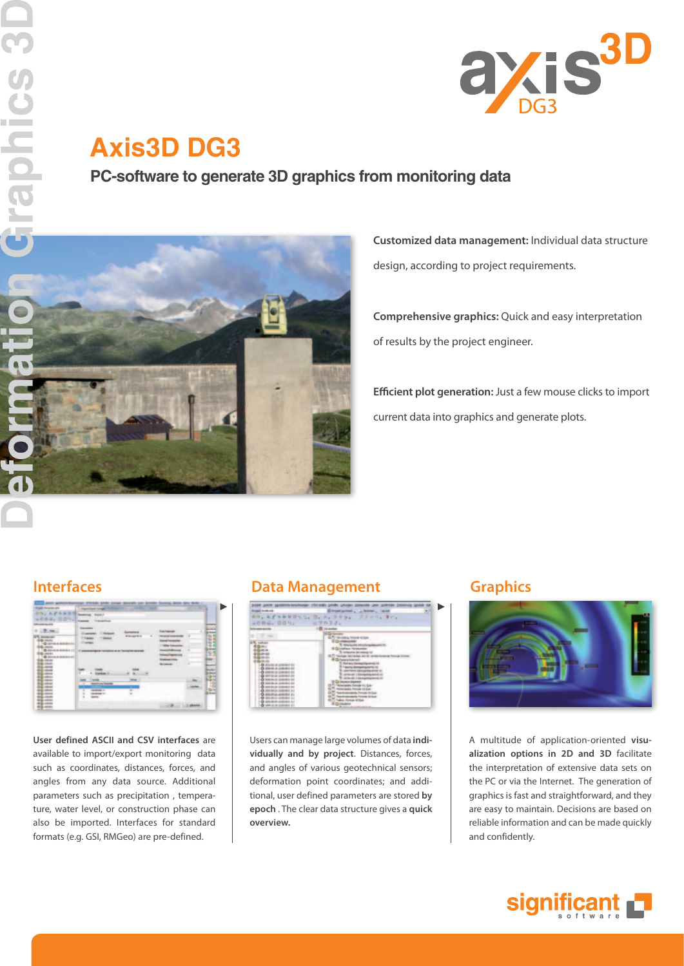

# **Axis3D DG3**

**PC-software to generate 3D graphics from monitoring data** 



**Customized data management:** Individual data structure design, according to project requirements.

**Comprehensive graphics:** Quick and easy interpretation of results by the project engineer.

**Efficient plot generation:** Just a few mouse clicks to import current data into graphics and generate plots.



**User defined ASCII and CSV interfaces** are available to import/export monitoring data such as coordinates, distances, forces, and angles from any data source. Additional parameters such as precipitation , temperature, water level, or construction phase can also be imported. Interfaces for standard formats (e.g. GSI, RMGeo) are pre-defined.

## **Interfaces Constructed Exercise Server Constructed Exercise Server Graphics**



Users can manage large volumes of data **individually and by project**. Distances, forces, and angles of various geotechnical sensors; deformation point coordinates; and additional, user defined parameters are stored **by epoch** . The clear data structure gives a **quick overview.**



A multitude of application-oriented **visualization options in 2D and 3D** facilitate the interpretation of extensive data sets on the PC or via the Internet. The generation of graphics is fast and straightforward, and they are easy to maintain. Decisions are based on reliable information and can be made quickly and confidently.